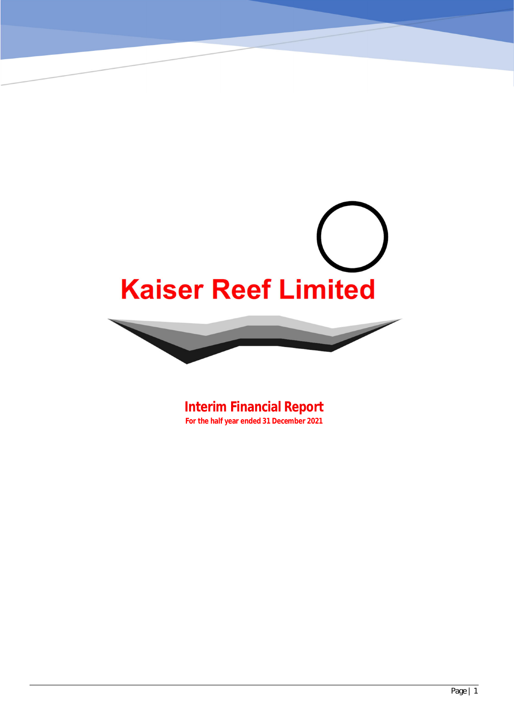# **Kaiser Reef Limited**

**Interim Financial Report For the half year ended 31 December 2021**

**KAISER REEF LIMITED**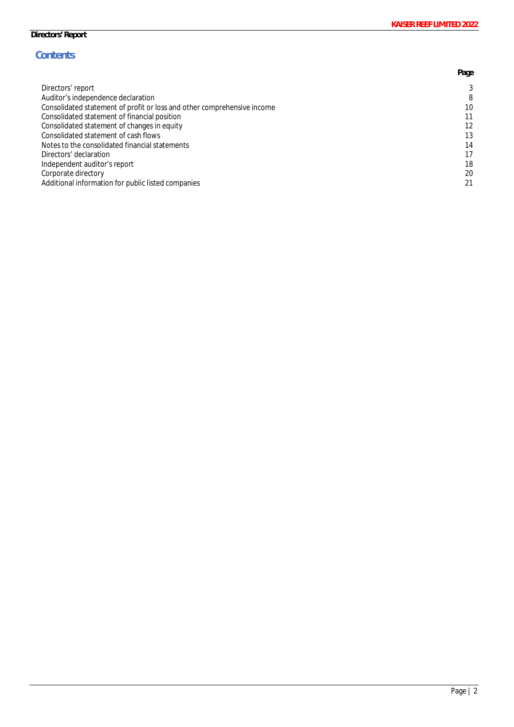# **Contents**

|                                                                         | Page |
|-------------------------------------------------------------------------|------|
| Directors' report                                                       | 3    |
| Auditor's independence declaration                                      | 8    |
| Consolidated statement of profit or loss and other comprehensive income | 10   |
| Consolidated statement of financial position                            | 11   |
| Consolidated statement of changes in equity                             | 12   |
| Consolidated statement of cash flows                                    | 13   |
| Notes to the consolidated financial statements                          | 14   |
| Directors' declaration                                                  | 17   |
| Independent auditor's report                                            | 18   |
| Corporate directory                                                     | 20   |
| Additional information for public listed companies                      | 21   |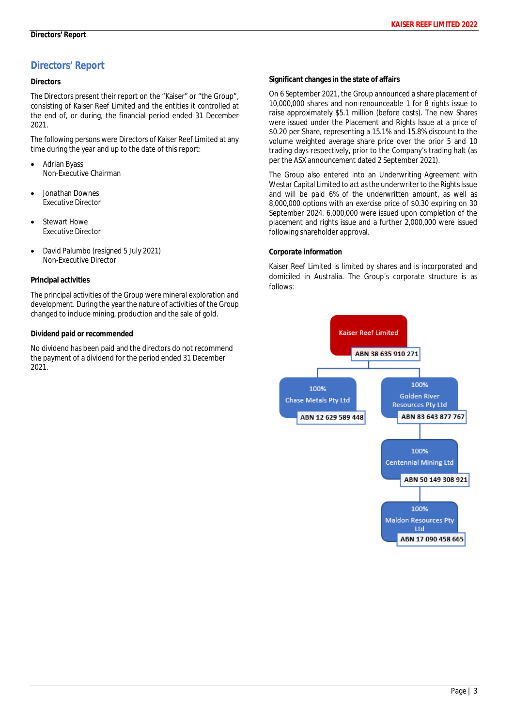# **Directors**

The Directors present their report on the "Kaiser" or "the Group", consisting of Kaiser Reef Limited and the entities it controlled at the end of, or during, the financial period ended 31 December 2021.

The following persons were Directors of Kaiser Reef Limited at any time during the year and up to the date of this report:

- **Adrian Byass** Non-Executive Chairman
- · Jonathan Downes Executive Director
- Stewart Howe Executive Director
- · David Palumbo (resigned 5 July 2021) Non-Executive Director

### **Principal activities**

The principal activities of the Group were mineral exploration and development. During the year the nature of activities of the Group changed to include mining, production and the sale of gold.

### **Dividend paid or recommended**

No dividend has been paid and the directors do not recommend the payment of a dividend for the period ended 31 December 2021.

**Significant changes in the state of affairs**

On 6 September 2021, the Group announced a share placement of 10,000,000 shares and non-renounceable 1 for 8 rights issue to raise approximately \$5.1 million (before costs). The new Shares were issued under the Placement and Rights Issue at a price of \$0.20 per Share, representing a 15.1% and 15.8% discount to the volume weighted average share price over the prior 5 and 10 trading days respectively, prior to the Company's trading halt (as per the ASX announcement dated 2 September 2021).

The Group also entered into an Underwriting Agreement with Westar Capital Limited to act as the underwriter to the Rights Issue and will be paid 6% of the underwritten amount, as well as 8,000,000 options with an exercise price of \$0.30 expiring on 30 September 2024. 6,000,000 were issued upon completion of the placement and rights issue and a further 2,000,000 were issued following shareholder approval.

# **Corporate information**

Kaiser Reef Limited is limited by shares and is incorporated and domiciled in Australia. The Group's corporate structure is as follows:

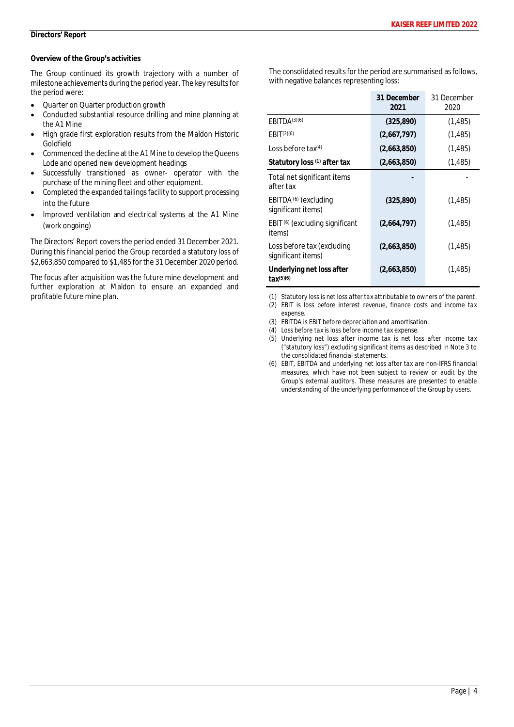### **Overview of the Group's activities**

The Group continued its growth trajectory with a number of milestone achievements during the period year. The key results for the period were:

- · Quarter on Quarter production growth
- Conducted substantial resource drilling and mine planning at the A1 Mine
- · High grade first exploration results from the Maldon Historic Goldfield
- Commenced the decline at the A1 Mine to develop the Queens Lode and opened new development headings
- Successfully transitioned as owner- operator with the purchase of the mining fleet and other equipment.
- Completed the expanded tailings facility to support processing into the future
- · Improved ventilation and electrical systems at the A1 Mine (work ongoing)

The Directors' Report covers the period ended 31 December 2021. During this financial period the Group recorded a statutory loss of \$2,663,850 compared to \$1,485 for the 31 December 2020 period.

The focus after acquisition was the future mine development and further exploration at Maldon to ensure an expanded and profitable future mine plan.

The consolidated results for the period are summarised as follows, with negative balances representing loss:

|                                                        | 31 December<br>2021 | 31 December<br>2020 |
|--------------------------------------------------------|---------------------|---------------------|
| EBITDA <sup>(3)(6)</sup>                               | (325, 890)          | (1, 485)            |
| EBIT <sup>(2)(6)</sup>                                 | (2,667,797)         | (1,485)             |
| Loss before $\text{tax}^{(4)}$                         | (2,663,850)         | (1,485)             |
| Statutory loss (1) after tax                           | (2,663,850)         | (1,485)             |
| Total net significant items<br>after tax               |                     |                     |
| EBITDA <sup>(6)</sup> (excluding<br>significant items) | (325, 890)          | (1,485)             |
| EBIT <sup>(6)</sup> (excluding significant<br>items)   | (2,664,797)         | (1, 485)            |
| Loss before tax (excluding<br>significant items)       | (2,663,850)         | (1,485)             |
| Underlying net loss after<br>$tax^{(5)(6)}$            | (2,663,850)         | (1,485)             |

*(1) Statutory loss is net loss after tax attributable to owners of the parent.*

*(2) EBIT is loss before interest revenue, finance costs and income tax expense.*

- *(3) EBITDA is EBIT before depreciation and amortisation.*
- *(4) Loss before tax is loss before income tax expense.*
- *(5) Underlying net loss after income tax is net loss after income tax ("statutory loss") excluding significant items as described in Note 3 to the consolidated financial statements.*
- *(6) EBIT, EBITDA and underlying net loss after tax are non-IFRS financial measures, which have not been subject to review or audit by the Group's external auditors. These measures are presented to enable understanding of the underlying performance of the Group by users.*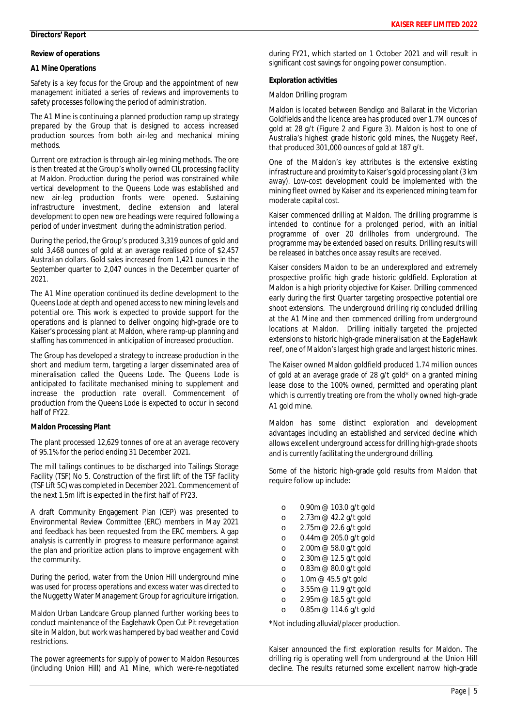### **Review of operations**

## **A1 Mine Operations**

Safety is a key focus for the Group and the appointment of new management initiated a series of reviews and improvements to safety processes following the period of administration.

The A1 Mine is continuing a planned production ramp up strategy prepared by the Group that is designed to access increased production sources from both air-leg and mechanical mining methods.

Current ore extraction is through air-leg mining methods. The ore is then treated at the Group's wholly owned CIL processing facility at Maldon. Production during the period was constrained while vertical development to the Queens Lode was established and new air-leg production fronts were opened. Sustaining infrastructure investment, decline extension and lateral development to open new ore headings were required following a period of under investment during the administration period.

During the period, the Group's produced 3,319 ounces of gold and sold 3,468 ounces of gold at an average realised price of \$2,457 Australian dollars. Gold sales increased from 1,421 ounces in the September quarter to 2,047 ounces in the December quarter of 2021.

The A1 Mine operation continued its decline development to the Queens Lode at depth and opened access to new mining levels and potential ore. This work is expected to provide support for the operations and is planned to deliver ongoing high-grade ore to Kaiser's processing plant at Maldon, where ramp-up planning and staffing has commenced in anticipation of increased production.

The Group has developed a strategy to increase production in the short and medium term, targeting a larger disseminated area of mineralisation called the Queens Lode. The Queens Lode is anticipated to facilitate mechanised mining to supplement and increase the production rate overall. Commencement of production from the Queens Lode is expected to occur in second half of FY22.

# **Maldon Processing Plant**

The plant processed 12,629 tonnes of ore at an average recovery of 95.1% for the period ending 31 December 2021.

The mill tailings continues to be discharged into Tailings Storage Facility (TSF) No 5. Construction of the first lift of the TSF facility (TSF Lift 5C) was completed in December 2021. Commencement of the next 1.5m lift is expected in the first half of FY23.

A draft Community Engagement Plan (CEP) was presented to Environmental Review Committee (ERC) members in May 2021 and feedback has been requested from the ERC members. A gap analysis is currently in progress to measure performance against the plan and prioritize action plans to improve engagement with the community.

During the period, water from the Union Hill underground mine was used for process operations and excess water was directed to the Nuggetty Water Management Group for agriculture irrigation.

Maldon Urban Landcare Group planned further working bees to conduct maintenance of the Eaglehawk Open Cut Pit revegetation site in Maldon, but work was hampered by bad weather and Covid restrictions.

The power agreements for supply of power to Maldon Resources (including Union Hill) and A1 Mine, which were-re-negotiated during FY21, which started on 1 October 2021 and will result in significant cost savings for ongoing power consumption.

**Exploration activities**

*Maldon Drilling program*

Maldon is located between Bendigo and Ballarat in the Victorian Goldfields and the licence area has produced over 1.7M ounces of gold at 28 g/t (Figure 2 and Figure 3). Maldon is host to one of Australia's highest grade historic gold mines, the Nuggety Reef, that produced 301,000 ounces of gold at 187 g/t.

One of the Maldon's key attributes is the extensive existing infrastructure and proximity to Kaiser's gold processing plant (3 km away). Low-cost development could be implemented with the mining fleet owned by Kaiser and its experienced mining team for moderate capital cost.

Kaiser commenced drilling at Maldon. The drilling programme is intended to continue for a prolonged period, with an initial programme of over 20 drillholes from underground. The programme may be extended based on results. Drilling results will be released in batches once assay results are received.

Kaiser considers Maldon to be an underexplored and extremely prospective prolific high grade historic goldfield. Exploration at Maldon is a high priority objective for Kaiser. Drilling commenced early during the first Quarter targeting prospective potential ore shoot extensions. The underground drilling rig concluded drilling at the A1 Mine and then commenced drilling from underground locations at Maldon. Drilling initially targeted the projected extensions to historic high-grade mineralisation at the EagleHawk reef, one of Maldon's largest high grade and largest historic mines.

The Kaiser owned Maldon goldfield produced 1.74 million ounces of gold at an average grade of 28 g/t gold\* on a granted mining lease close to the 100% owned, permitted and operating plant which is currently treating ore from the wholly owned high-grade A1 gold mine.

Maldon has some distinct exploration and development advantages including an established and serviced decline which allows excellent underground access for drilling high-grade shoots and is currently facilitating the underground drilling.

Some of the historic high-grade gold results from Maldon that require follow up include:

o 0.90m @ 103.0 g/t gold o 2.73m @ 42.2 g/t gold o 2.75m @ 22.6 g/t gold o 0.44m @ 205.0 g/t gold o 2.00m @ 58.0 g/t gold o 2.30m @ 12.5 g/t gold o 0.83m @ 80.0 g/t gold o 1.0m @ 45.5 g/t gold o 3.55m @ 11.9 g/t gold o 2.95m @ 18.5 g/t gold o 0.85m @ 114.6 g/t gold

\*Not including alluvial/placer production.

Kaiser announced the first exploration results for Maldon. The drilling rig is operating well from underground at the Union Hill decline. The results returned some excellent narrow high-grade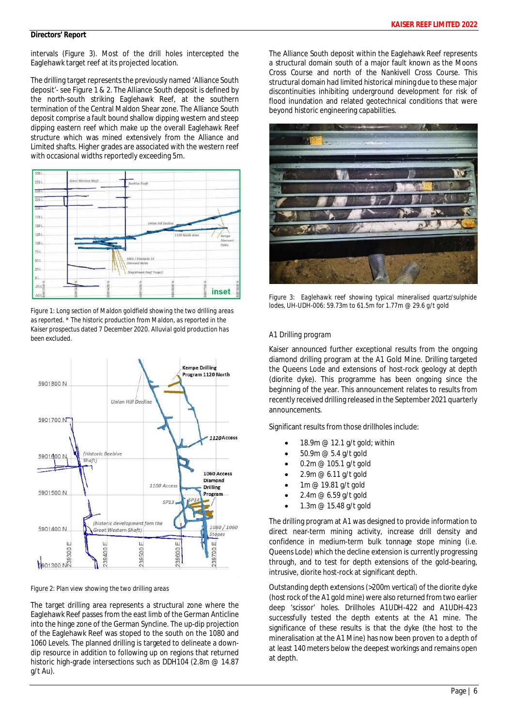intervals (Figure 3). Most of the drill holes intercepted the Eaglehawk target reef at its projected location.

The drilling target represents the previously named 'Alliance South deposit'- see Figure 1 & 2. The Alliance South deposit is defined by the north-south striking Eaglehawk Reef, at the southern termination of the Central Maldon Shear zone. The Alliance South deposit comprise a fault bound shallow dipping western and steep dipping eastern reef which make up the overall Eaglehawk Reef structure which was mined extensively from the Alliance and Limited shafts. Higher grades are associated with the western reef with occasional widths reportedly exceeding 5m.



*Figure 1: Long section of Maldon goldfield showing the two drilling areas as reported. \* The historic production from Maldon, as reported in the Kaiser prospectus dated 7 December 2020. Alluvial gold production has been excluded.*



*Figure 2: Plan view showing the two drilling areas*

The target drilling area represents a structural zone where the Eaglehawk Reef passes from the east limb of the German Anticline into the hinge zone of the German Syncline. The up-dip projection of the Eaglehawk Reef was stoped to the south on the 1080 and 1060 Levels. The planned drilling is targeted to delineate a downdip resource in addition to following up on regions that returned historic high-grade intersections such as DDH104 (2.8m @ 14.87 g/t Au).

The Alliance South deposit within the Eaglehawk Reef represents a structural domain south of a major fault known as the Moons Cross Course and north of the Nankivell Cross Course. This structural domain had limited historical mining due to these major discontinuities inhibiting underground development for risk of flood inundation and related geotechnical conditions that were beyond historic engineering capabilities.



*Figure 3: Eaglehawk reef showing typical mineralised quartz/sulphide lodes, UH-UDH-006: 59.73m to 61.5m for 1.77m @ 29.6 g/t gold*

### *A1 Drilling program*

Kaiser announced further exceptional results from the ongoing diamond drilling program at the A1 Gold Mine. Drilling targeted the Queens Lode and extensions of host-rock geology at depth (diorite dyke). This programme has been ongoing since the beginning of the year. This announcement relates to results from recently received drilling released in the September 2021 quarterly announcements.

Significant results from those drillholes include:

- 18.9m @ 12.1 g/t gold; within
- 50.9m @ 5.4 g/t gold
- · 0.2m @ 105.1 g/t gold
- 2.9m  $@6.11$  g/t gold
- 1m @ 19.81 g/t gold
- 2.4m @ 6.59 g/t gold
- · 1.3m @ 15.48 g/t gold

The drilling program at A1 was designed to provide information to direct near-term mining activity, increase drill density and confidence in medium-term bulk tonnage stope mining (i.e. Queens Lode) which the decline extension is currently progressing through, and to test for depth extensions of the gold-bearing, intrusive, diorite host-rock at significant depth.

Outstanding depth extensions (>200m vertical) of the diorite dyke (host rock of the A1 gold mine) were also returned from two earlier deep 'scissor' holes. Drillholes A1UDH-422 and A1UDH-423 successfully tested the depth extents at the A1 mine. The significance of these results is that the dyke (the host to the mineralisation at the A1 Mine) has now been proven to a depth of at least 140 meters below the deepest workings and remains open at depth.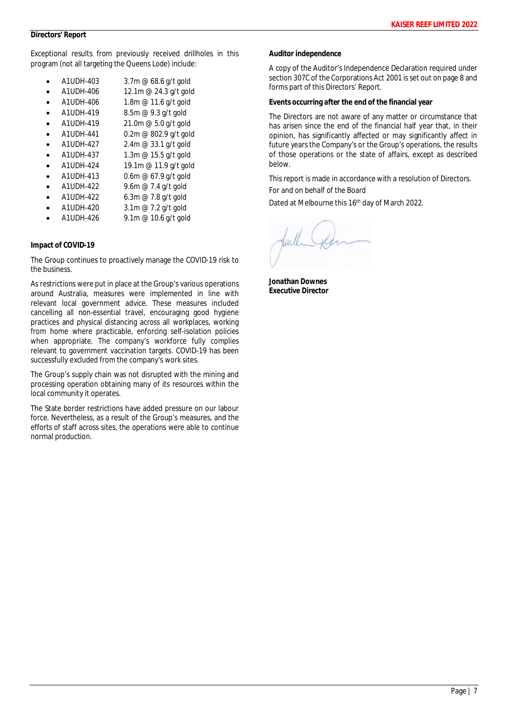Exceptional results from previously received drillholes in this program (not all targeting the Queens Lode) include:

- · A1UDH-403 3.7m @ 68.6 g/t gold
- · A1UDH-406 12.1m @ 24.3 g/t gold
- A1UDH-406 1.8m @ 11.6 g/t gold
- A1UDH-419 8.5m @ 9.3 g/t gold
- A1UDH-419 21.0m @ 5.0 g/t gold
- · A1UDH-441 0.2m @ 802.9 g/t gold
- · A1UDH-427 2.4m @ 33.1 g/t gold
- A1UDH-437 1.3m @ 15.5 g/t gold
- A1UDH-424 19.1m @ 11.9 g/t gold
- · A1UDH-413 0.6m @ 67.9 g/t gold
- A1UDH-422 9.6m @ 7.4 g/t gold
- A1UDH-422 6.3m @ 7.8 g/t gold
- A1UDH-420 3.1m @ 7.2 g/t gold
- · A1UDH-426 9.1m @ 10.6 g/t gold

### **Impact of COVID-19**

The Group continues to proactively manage the COVID-19 risk to the business.

As restrictions were put in place at the Group's various operations around Australia, measures were implemented in line with relevant local government advice. These measures included cancelling all non-essential travel, encouraging good hygiene practices and physical distancing across all workplaces, working from home where practicable, enforcing self-isolation policies when appropriate. The company's workforce fully complies relevant to government vaccination targets. COVID-19 has been successfully excluded from the company's work sites.

The Group's supply chain was not disrupted with the mining and processing operation obtaining many of its resources within the local community it operates.

The State border restrictions have added pressure on our labour force. Nevertheless, as a result of the Group's measures, and the efforts of staff across sites, the operations were able to continue normal production.

**Auditor independence**

A copy of the Auditor's Independence Declaration required under section 307C of the Corporations Act 2001 is set out on page 8 and forms part of this Directors' Report.

**Events occurring after the end of the financial year**

The Directors are not aware of any matter or circumstance that has arisen since the end of the financial half year that, in their opinion, has significantly affected or may significantly affect in future years the Company's or the Group's operations, the results of those operations or the state of affairs, except as described below.

This report is made in accordance with a resolution of Directors.

For and on behalf of the Board

Dated at Melbourne this 16th day of March 2022.

**Jonathan Downes Executive Director**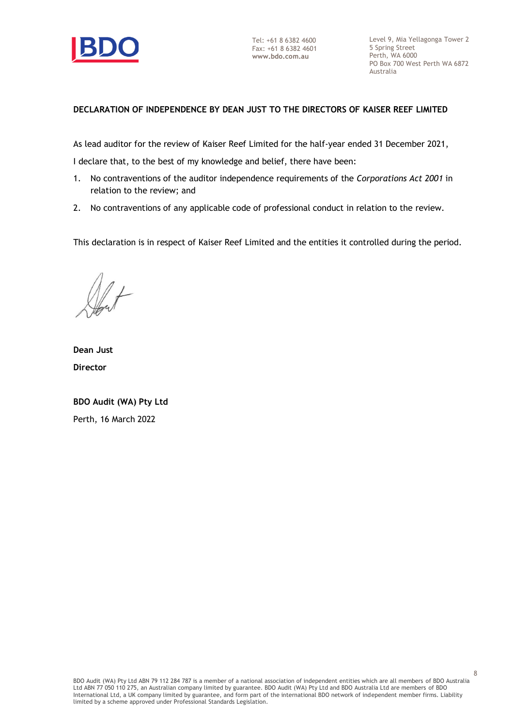

Tel: +61 8 6382 4600 Fax: +61 8 6382 4601 **www.bdo.com.au**

Level 9, Mia Yellagonga Tower 2 5 Spring Street Perth, WA 6000 PO Box 700 West Perth WA 6872 Australia

# **DECLARATION OF INDEPENDENCE BY DEAN JUST TO THE DIRECTORS OF KAISER REEF LIMITED**

As lead auditor for the review of Kaiser Reef Limited for the half-year ended 31 December 2021,

I declare that, to the best of my knowledge and belief, there have been:

- 1. No contraventions of the auditor independence requirements of the *Corporations Act 2001* in relation to the review; and
- 2. No contraventions of any applicable code of professional conduct in relation to the review.

This declaration is in respect of Kaiser Reef Limited and the entities it controlled during the period.

**Dean Just Director**

**BDO Audit (WA) Pty Ltd** Perth, 16 March 2022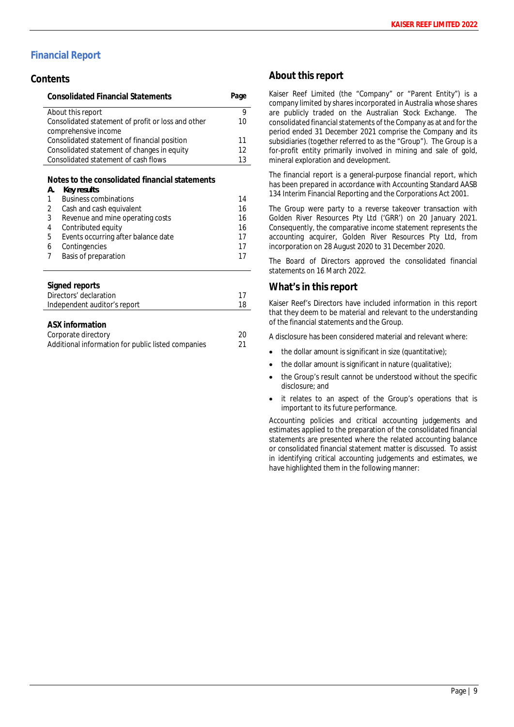# **Financial Report**

# **Contents**

| <b>Consolidated Financial Statements</b>           | Page |
|----------------------------------------------------|------|
| About this report                                  | 9    |
| Consolidated statement of profit or loss and other | 10   |
| comprehensive income                               |      |
| Consolidated statement of financial position       | 11   |
| Consolidated statement of changes in equity        | 12   |
| Consolidated statement of cash flows               | 13   |
|                                                    |      |

**Notes to the consolidated financial statements**

| А. | Key results                         |    |
|----|-------------------------------------|----|
| 1  | <b>Business combinations</b>        | 14 |
| 2  | Cash and cash equivalent            | 16 |
| 3  | Revenue and mine operating costs    | 16 |
| 4  | Contributed equity                  | 16 |
| 5  | Events occurring after balance date | 17 |
| 6  | Contingencies                       | 17 |
| 7  | Basis of preparation                | 17 |
|    |                                     |    |

### **Signed reports**

| Directors' declaration       |  |
|------------------------------|--|
| Independent auditor's report |  |
|                              |  |

| ASX information                                    |    |
|----------------------------------------------------|----|
| Corporate directory                                | 20 |
| Additional information for public listed companies | 21 |

# **About this report**

Kaiser Reef Limited (the "Company" or "Parent Entity") is a company limited by shares incorporated in Australia whose shares are publicly traded on the Australian Stock Exchange. The consolidated financial statements of the Company as at and for the period ended 31 December 2021 comprise the Company and its subsidiaries (together referred to as the "Group"). The Group is a for-profit entity primarily involved in mining and sale of gold, mineral exploration and development.

The financial report is a general-purpose financial report, which has been prepared in accordance with Accounting Standard AASB 134 Interim Financial Reporting and the Corporations Act 2001.

The Group were party to a reverse takeover transaction with Golden River Resources Pty Ltd ('GRR') on 20 January 2021. Consequently, the comparative income statement represents the accounting acquirer, Golden River Resources Pty Ltd, from incorporation on 28 August 2020 to 31 December 2020.

The Board of Directors approved the consolidated financial statements on 16 March 2022.

# **What's in this report**

Kaiser Reef's Directors have included information in this report that they deem to be material and relevant to the understanding of the financial statements and the Group.

A disclosure has been considered material and relevant where:

- $\bullet$  the dollar amount is significant in size (quantitative);
- $\bullet$  the dollar amount is significant in nature (qualitative);
- the Group's result cannot be understood without the specific disclosure; and
- it relates to an aspect of the Group's operations that is important to its future performance.

Accounting policies and critical accounting judgements and estimates applied to the preparation of the consolidated financial statements are presented where the related accounting balance or consolidated financial statement matter is discussed. To assist in identifying critical accounting judgements and estimates, we have highlighted them in the following manner: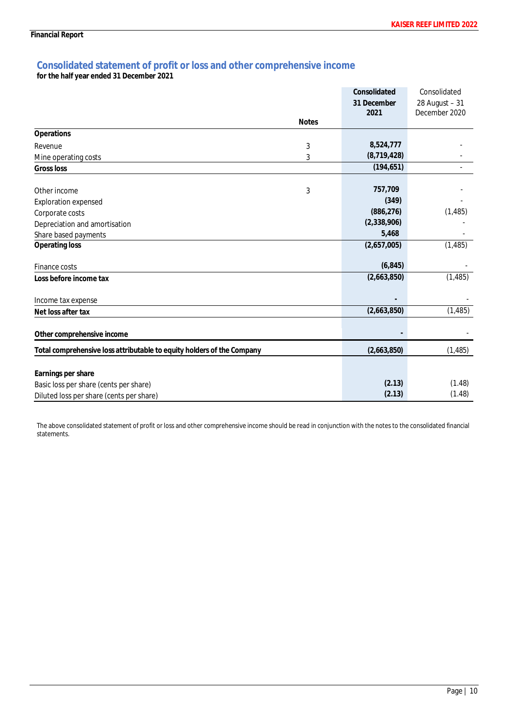# **Consolidated statement of profit or loss and other comprehensive income**

**for the half year ended 31 December 2021**

|                                                                        |              | Consolidated | Consolidated   |
|------------------------------------------------------------------------|--------------|--------------|----------------|
|                                                                        |              | 31 December  | 28 August - 31 |
|                                                                        |              | 2021         | December 2020  |
|                                                                        | <b>Notes</b> |              |                |
| Operations                                                             |              |              |                |
| Revenue                                                                | 3            | 8,524,777    |                |
| Mine operating costs                                                   | 3            | (8,719,428)  |                |
| Gross loss                                                             |              | (194, 651)   |                |
| Other income                                                           | 3            | 757,709      |                |
| <b>Exploration expensed</b>                                            |              | (349)        |                |
| Corporate costs                                                        |              | (886, 276)   | (1, 485)       |
| Depreciation and amortisation                                          |              | (2,338,906)  |                |
| Share based payments                                                   |              | 5,468        |                |
| Operating loss                                                         |              | (2,657,005)  | (1, 485)       |
| Finance costs                                                          |              | (6, 845)     |                |
| Loss before income tax                                                 |              | (2,663,850)  | (1, 485)       |
| Income tax expense                                                     |              |              |                |
| Net loss after tax                                                     |              | (2,663,850)  | (1, 485)       |
| Other comprehensive income                                             |              |              |                |
| Total comprehensive loss attributable to equity holders of the Company |              | (2,663,850)  | (1, 485)       |
|                                                                        |              |              |                |
| Earnings per share                                                     |              |              |                |
| Basic loss per share (cents per share)                                 |              | (2.13)       | (1.48)         |
| Diluted loss per share (cents per share)                               |              | (2.13)       | (1.48)         |

The above consolidated statement of profit or loss and other comprehensive income should be read in conjunction with the notes to the consolidated financial statements.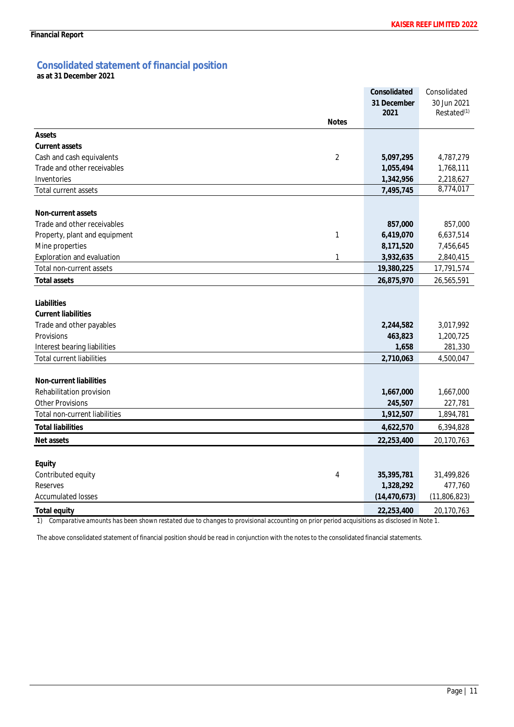# **Consolidated statement of financial position**

**as at 31 December 2021**

|                                             | Consolidated   | Consolidated            |
|---------------------------------------------|----------------|-------------------------|
|                                             | 31 December    | 30 Jun 2021             |
|                                             | 2021           | Restated <sup>(1)</sup> |
| <b>Notes</b>                                |                |                         |
| Assets                                      |                |                         |
| Current assets                              |                |                         |
| $\overline{2}$<br>Cash and cash equivalents | 5,097,295      | 4,787,279               |
| Trade and other receivables                 | 1,055,494      | 1,768,111               |
| Inventories                                 | 1,342,956      | 2,218,627               |
| <b>Total current assets</b>                 | 7,495,745      | 8,774,017               |
| Non-current assets                          |                |                         |
| Trade and other receivables                 | 857,000        | 857,000                 |
| 1<br>Property, plant and equipment          | 6,419,070      | 6,637,514               |
| Mine properties                             | 8,171,520      | 7,456,645               |
| 1<br>Exploration and evaluation             | 3,932,635      | 2,840,415               |
| Total non-current assets                    | 19,380,225     | 17,791,574              |
| <b>Total assets</b>                         | 26,875,970     | 26,565,591              |
|                                             |                |                         |
| Liabilities                                 |                |                         |
| <b>Current liabilities</b>                  |                |                         |
| Trade and other payables                    | 2,244,582      | 3,017,992               |
| Provisions                                  | 463,823        | 1,200,725               |
| Interest bearing liabilities                | 1,658          | 281,330                 |
| <b>Total current liabilities</b>            | 2,710,063      | 4,500,047               |
| Non-current liabilities                     |                |                         |
| Rehabilitation provision                    | 1,667,000      | 1,667,000               |
| <b>Other Provisions</b>                     | 245,507        | 227,781                 |
| Total non-current liabilities               | 1,912,507      | 1,894,781               |
| <b>Total liabilities</b>                    | 4,622,570      | 6,394,828               |
| Net assets                                  | 22,253,400     | 20,170,763              |
| Equity                                      |                |                         |
| Contributed equity<br>4                     | 35,395,781     | 31,499,826              |
| Reserves                                    | 1,328,292      | 477,760                 |
| <b>Accumulated losses</b>                   | (14, 470, 673) | (11,806,823)            |
| Total equity                                | 22,253,400     | 20,170,763              |

*1) Comparative amounts has been shown restated due to changes to provisional accounting on prior period acquisitions as disclosed in Note 1.*

The above consolidated statement of financial position should be read in conjunction with the notes to the consolidated financial statements.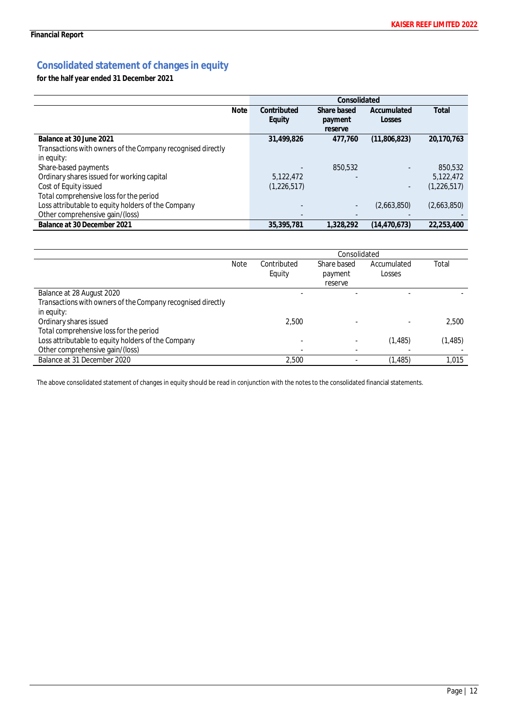# **Consolidated statement of changes in equity**

**for the half year ended 31 December 2021**

|                                                             | Consolidated |             |                          |               |
|-------------------------------------------------------------|--------------|-------------|--------------------------|---------------|
| <b>Note</b>                                                 | Contributed  | Share based | Accumulated              | Total         |
|                                                             | Equity       | payment     | Losses                   |               |
|                                                             |              | reserve     |                          |               |
| Balance at 30 June 2021                                     | 31,499,826   | 477,760     | (11,806,823)             | 20,170,763    |
| Transactions with owners of the Company recognised directly |              |             |                          |               |
| in equity:                                                  |              |             |                          |               |
| Share-based payments                                        |              | 850,532     | ٠                        | 850,532       |
| Ordinary shares issued for working capital                  | 5,122,472    |             |                          | 5,122,472     |
| Cost of Equity issued                                       | (1,226,517)  |             | $\overline{\phantom{a}}$ | (1, 226, 517) |
| Total comprehensive loss for the period                     |              |             |                          |               |
| Loss attributable to equity holders of the Company          |              |             | (2,663,850)              | (2,663,850)   |
| Other comprehensive gain/(loss)                             |              |             |                          |               |
| Balance at 30 December 2021                                 | 35,395,781   | 1.328.292   | (14.470.673)             | 22.253.400    |

|                                                             |             |                       | Consolidated                      |                       |          |
|-------------------------------------------------------------|-------------|-----------------------|-----------------------------------|-----------------------|----------|
|                                                             | <b>Note</b> | Contributed<br>Equity | Share based<br>payment<br>reserve | Accumulated<br>Losses | Total    |
| Balance at 28 August 2020                                   |             |                       |                                   |                       |          |
| Transactions with owners of the Company recognised directly |             |                       |                                   |                       |          |
| in equity:                                                  |             |                       |                                   |                       |          |
| Ordinary shares issued                                      |             | 2.500                 |                                   |                       | 2.500    |
| Total comprehensive loss for the period                     |             |                       |                                   |                       |          |
| Loss attributable to equity holders of the Company          |             |                       |                                   | (1, 485)              | (1, 485) |
| Other comprehensive gain/(loss)                             |             |                       | $\overline{a}$                    |                       |          |
| Balance at 31 December 2020                                 |             | 2.500                 | $\overline{\phantom{a}}$          | (1, 485)              | 1.015    |

The above consolidated statement of changes in equity should be read in conjunction with the notes to the consolidated financial statements.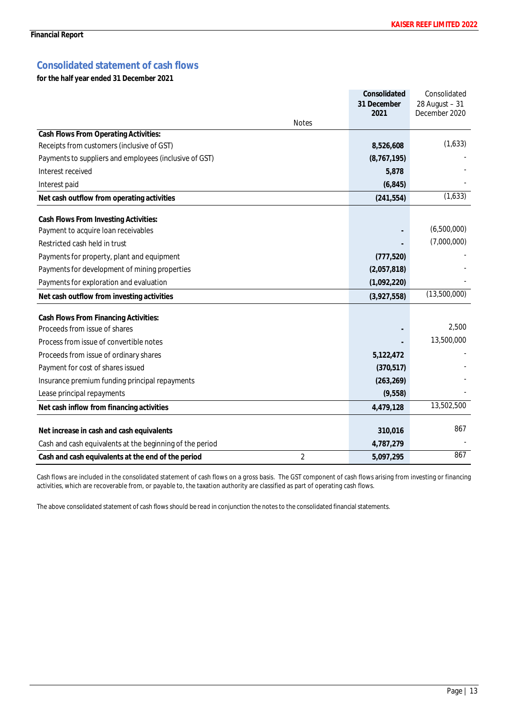# **Consolidated statement of cash flows**

**for the half year ended 31 December 2021**

|                                                          | Consolidated        | Consolidated                      |
|----------------------------------------------------------|---------------------|-----------------------------------|
|                                                          | 31 December<br>2021 | $28$ August - 31<br>December 2020 |
| <b>Notes</b>                                             |                     |                                   |
| Cash Flows From Operating Activities:                    |                     |                                   |
| Receipts from customers (inclusive of GST)               | 8,526,608           | (1,633)                           |
| Payments to suppliers and employees (inclusive of GST)   | (8, 767, 195)       |                                   |
| Interest received                                        | 5,878               |                                   |
| Interest paid                                            | (6, 845)            |                                   |
| Net cash outflow from operating activities               | (241, 554)          | (1,633)                           |
| Cash Flows From Investing Activities:                    |                     |                                   |
| Payment to acquire loan receivables                      |                     | (6,500,000)                       |
| Restricted cash held in trust                            |                     | (7,000,000)                       |
| Payments for property, plant and equipment               | (777, 520)          |                                   |
| Payments for development of mining properties            | (2,057,818)         |                                   |
| Payments for exploration and evaluation                  | (1,092,220)         |                                   |
| Net cash outflow from investing activities               | (3,927,558)         | (13,500,000)                      |
| Cash Flows From Financing Activities:                    |                     |                                   |
| Proceeds from issue of shares                            |                     | 2,500                             |
| Process from issue of convertible notes                  |                     | 13,500,000                        |
| Proceeds from issue of ordinary shares                   | 5,122,472           |                                   |
| Payment for cost of shares issued                        | (370, 517)          |                                   |
| Insurance premium funding principal repayments           | (263, 269)          |                                   |
| Lease principal repayments                               | (9,558)             |                                   |
| Net cash inflow from financing activities                | 4,479,128           | 13,502,500                        |
| Net increase in cash and cash equivalents                | 310,016             | 867                               |
| Cash and cash equivalents at the beginning of the period | 4,787,279           |                                   |
| 2<br>Cash and cash equivalents at the end of the period  | 5,097,295           | 867                               |

Cash flows are included in the consolidated statement of cash flows on a gross basis. The GST component of cash flows arising from investing or financing activities, which are recoverable from, or payable to, the taxation authority are classified as part of operating cash flows.

The above consolidated statement of cash flows should be read in conjunction the notes to the consolidated financial statements.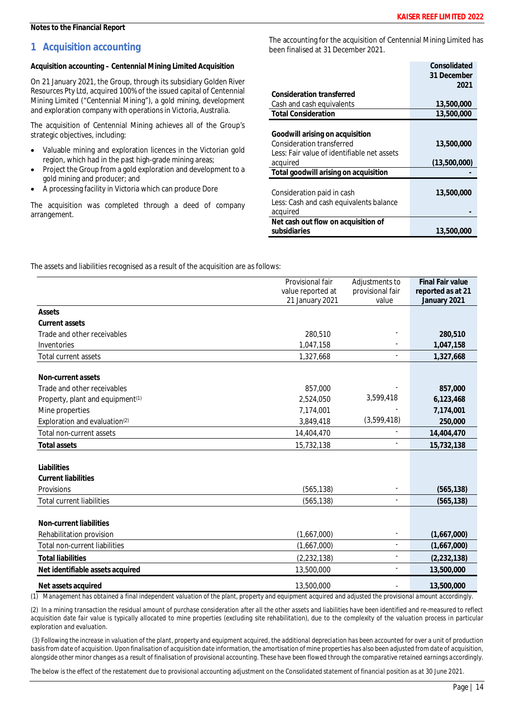# **1 Acquisition accounting**

**Acquisition accounting – Centennial Mining Limited Acquisition**

On 21 January 2021, the Group, through its subsidiary Golden River Resources Pty Ltd, acquired 100% of the issued capital of Centennial Mining Limited ("Centennial Mining"), a gold mining, development and exploration company with operations in Victoria, Australia.

The acquisition of Centennial Mining achieves all of the Group's strategic objectives, including:

- · Valuable mining and exploration licences in the Victorian gold region, which had in the past high-grade mining areas;
- · Project the Group from a gold exploration and development to a gold mining and producer; and
- · A processing facility in Victoria which can produce Dore

The acquisition was completed through a deed of company arrangement.

The accounting for the acquisition of Centennial Mining Limited has been finalised at 31 December 2021.

|                                             | Consolidated |
|---------------------------------------------|--------------|
|                                             | 31 December  |
|                                             | 2021         |
| Consideration transferred                   |              |
| Cash and cash equivalents                   | 13,500,000   |
| <b>Total Consideration</b>                  | 13,500,000   |
|                                             |              |
| Goodwill arising on acquisition             |              |
| Consideration transferred                   | 13,500,000   |
| Less: Fair value of identifiable net assets |              |
| acquired                                    | (13,500,000) |
| Total goodwill arising on acquisition       |              |
|                                             |              |
| Consideration paid in cash                  | 13,500,000   |
| Less: Cash and cash equivalents balance     |              |
| acquired                                    |              |
| Net cash out flow on acquisition of         |              |
| subsidiaries                                | 13,500,000   |

The assets and liabilities recognised as a result of the acquisition are as follows:

|                                              | Provisional fair<br>value reported at<br>21 January 2021 | Adjustments to<br>provisional fair<br>value | <b>Final Fair value</b><br>reported as at 21<br>January 2021 |
|----------------------------------------------|----------------------------------------------------------|---------------------------------------------|--------------------------------------------------------------|
| Assets                                       |                                                          |                                             |                                                              |
| Current assets                               |                                                          |                                             |                                                              |
| Trade and other receivables                  | 280,510                                                  |                                             | 280,510                                                      |
| Inventories                                  | 1,047,158                                                |                                             | 1,047,158                                                    |
| Total current assets                         | 1,327,668                                                |                                             | 1,327,668                                                    |
| Non-current assets                           |                                                          |                                             |                                                              |
| Trade and other receivables                  | 857,000                                                  |                                             | 857,000                                                      |
| Property, plant and equipment <sup>(1)</sup> | 2,524,050                                                | 3,599,418                                   | 6,123,468                                                    |
| Mine properties                              | 7,174,001                                                |                                             | 7,174,001                                                    |
| Exploration and evaluation <sup>(2)</sup>    | 3,849,418                                                | (3,599,418)                                 | 250,000                                                      |
| Total non-current assets                     | 14,404,470                                               |                                             | 14,404,470                                                   |
| <b>Total assets</b>                          | 15,732,138                                               |                                             | 15,732,138                                                   |
| Liabilities                                  |                                                          |                                             |                                                              |
| <b>Current liabilities</b>                   |                                                          |                                             |                                                              |
| Provisions                                   | (565, 138)                                               |                                             | (565, 138)                                                   |
| <b>Total current liabilities</b>             | (565, 138)                                               |                                             | (565, 138)                                                   |
|                                              |                                                          |                                             |                                                              |
| Non-current liabilities                      |                                                          |                                             |                                                              |
| Rehabilitation provision                     | (1,667,000)                                              |                                             | (1,667,000)                                                  |
| Total non-current liabilities                | (1,667,000)                                              | ä,                                          | (1,667,000)                                                  |
| <b>Total liabilities</b>                     | (2,232,138)                                              |                                             | (2, 232, 138)                                                |
| Net identifiable assets acquired             | 13,500,000                                               |                                             | 13,500,000                                                   |
| Net assets acquired                          | 13,500,000                                               |                                             | 13,500,000                                                   |

*(1) Management has obtained a final independent valuation of the plant, property and equipment acquired and adjusted the provisional amount accordingly.*

*(2) In a mining transaction the residual amount of purchase consideration after all the other assets and liabilities have been identified and re-measured to reflect acquisition date fair value is typically allocated to mine properties (excluding site rehabilitation), due to the complexity of the valuation process in particular exploration and evaluation.*

 *(3) Following the increase in valuation of the plant, property and equipment acquired, the additional depreciation has been accounted for over a unit of production basis from date of acquisition. Upon finalisation of acquisition date information, the amortisation of mine properties has also been adjusted from date of acquisition, alongside other minor changes as a result of finalisation of provisional accounting. These have been flowed through the comparative retained earnings accordingly.*

*The below is the effect of the restatement due to provisional accounting adjustment on the Consolidated statement of financial position as at 30 June 2021.*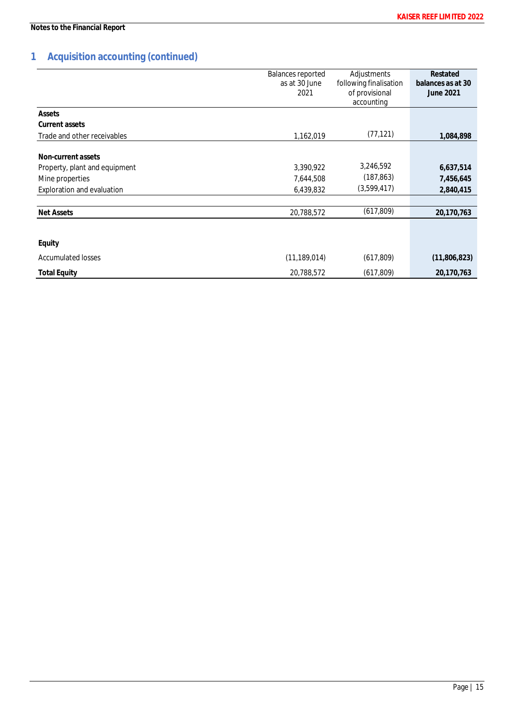# **1 Acquisition accounting (continued)**

|                               | <b>Balances reported</b><br>as at 30 June<br>2021 | Adjustments<br>following finalisation<br>of provisional<br>accounting | Restated<br>balances as at 30<br>June 2021 |
|-------------------------------|---------------------------------------------------|-----------------------------------------------------------------------|--------------------------------------------|
| Assets                        |                                                   |                                                                       |                                            |
| Current assets                |                                                   |                                                                       |                                            |
| Trade and other receivables   | 1,162,019                                         | (77, 121)                                                             | 1,084,898                                  |
| Non-current assets            |                                                   |                                                                       |                                            |
| Property, plant and equipment | 3,390,922                                         | 3,246,592                                                             | 6,637,514                                  |
| Mine properties               | 7,644,508                                         | (187, 863)                                                            | 7,456,645                                  |
| Exploration and evaluation    | 6,439,832                                         | (3,599,417)                                                           | 2,840,415                                  |
|                               |                                                   |                                                                       |                                            |
| Net Assets                    | 20,788,572                                        | (617, 809)                                                            | 20,170,763                                 |
|                               |                                                   |                                                                       |                                            |
| Equity                        |                                                   |                                                                       |                                            |
| <b>Accumulated losses</b>     | (11, 189, 014)                                    | (617, 809)                                                            | (11,806,823)                               |
| <b>Total Equity</b>           | 20,788,572                                        | (617, 809)                                                            | 20,170,763                                 |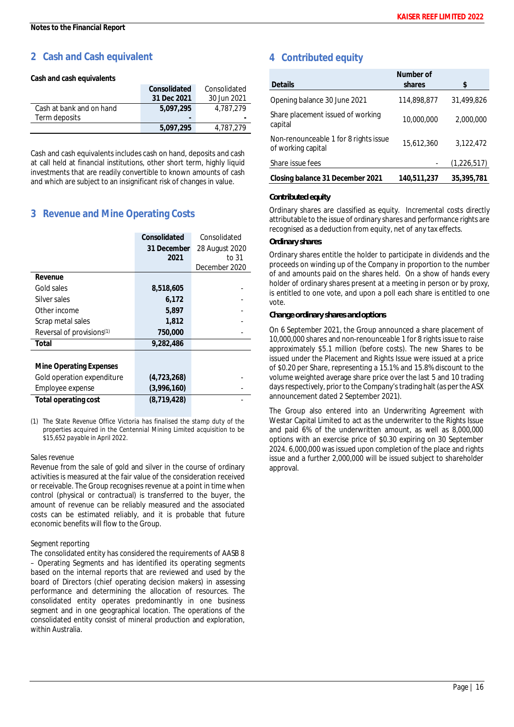# **2 Cash and Cash equivalent**

**Cash and cash equivalents**

|                          | Consolidated | Consolidated |
|--------------------------|--------------|--------------|
|                          | 31 Dec 2021  | 30 Jun 2021  |
| Cash at bank and on hand | 5.097.295    | 4.787.279    |
| Term deposits            | ۰            |              |
|                          | 5.097.295    | 4.787.279    |

Cash and cash equivalents includes cash on hand, deposits and cash at call held at financial institutions, other short term, highly liquid investments that are readily convertible to known amounts of cash and which are subject to an insignificant risk of changes in value.

# **3 Revenue and Mine Operating Costs**

|                                       | Consolidated<br>31 December<br>2021 | Consolidated<br>28 August 2020<br>to 31<br>December 2020 |
|---------------------------------------|-------------------------------------|----------------------------------------------------------|
| Revenue                               |                                     |                                                          |
| Gold sales                            | 8,518,605                           |                                                          |
| Silver sales                          | 6,172                               |                                                          |
| Other income                          | 5.897                               |                                                          |
| Scrap metal sales                     | 1,812                               |                                                          |
| Reversal of provisions <sup>(1)</sup> | 750,000                             |                                                          |
| Total                                 | 9,282,486                           |                                                          |
| Mine Operating Expenses               |                                     |                                                          |
| Gold operation expenditure            | (4, 723, 268)                       |                                                          |
| Employee expense                      | (3,996,160)                         |                                                          |
| Total operating cost                  | (8, 719, 428)                       |                                                          |

*(1) The State Revenue Office Victoria has finalised the stamp duty of the properties acquired in the Centennial Mining Limited acquisition to be \$15,652 payable in April 2022.*

# *Sales revenue*

Revenue from the sale of gold and silver in the course of ordinary activities is measured at the fair value of the consideration received or receivable. The Group recognises revenue at a point in time when control (physical or contractual) is transferred to the buyer, the amount of revenue can be reliably measured and the associated costs can be estimated reliably, and it is probable that future economic benefits will flow to the Group.

# *Segment reporting*

The consolidated entity has considered the requirements of AASB 8 – Operating Segments and has identified its operating segments based on the internal reports that are reviewed and used by the board of Directors (chief operating decision makers) in assessing performance and determining the allocation of resources. The consolidated entity operates predominantly in one business segment and in one geographical location. The operations of the consolidated entity consist of mineral production and exploration, within Australia.

# **4 Contributed equity**

|                                                             | Number of   |             |  |
|-------------------------------------------------------------|-------------|-------------|--|
| <b>Details</b>                                              | shares      | \$          |  |
| Opening balance 30 June 2021                                | 114,898,877 | 31,499,826  |  |
| Share placement issued of working<br>capital                | 10,000,000  | 2,000,000   |  |
| Non-renounceable 1 for 8 rights issue<br>of working capital | 15,612,360  | 3,122,472   |  |
| Share issue fees                                            |             | (1,226,517) |  |
| Closing balance 31 December 2021                            | 140,511,237 | 35,395,781  |  |

# *Contributed equity*

Ordinary shares are classified as equity. Incremental costs directly attributable to the issue of ordinary shares and performance rights are recognised as a deduction from equity, net of any tax effects.

# *Ordinary shares*

Ordinary shares entitle the holder to participate in dividends and the proceeds on winding up of the Company in proportion to the number of and amounts paid on the shares held. On a show of hands every holder of ordinary shares present at a meeting in person or by proxy, is entitled to one vote, and upon a poll each share is entitled to one vote.

### *Change ordinary shares and options*

On 6 September 2021, the Group announced a share placement of 10,000,000 shares and non-renounceable 1 for 8 rights issue to raise approximately \$5.1 million (before costs). The new Shares to be issued under the Placement and Rights Issue were issued at a price of \$0.20 per Share, representing a 15.1% and 15.8% discount to the volume weighted average share price over the last 5 and 10 trading days respectively, prior to the Company's trading halt (as per the ASX announcement dated 2 September 2021).

The Group also entered into an Underwriting Agreement with Westar Capital Limited to act as the underwriter to the Rights Issue and paid 6% of the underwritten amount, as well as 8,000,000 options with an exercise price of \$0.30 expiring on 30 September 2024. 6,000,000 was issued upon completion of the place and rights issue and a further 2,000,000 will be issued subject to shareholder approval.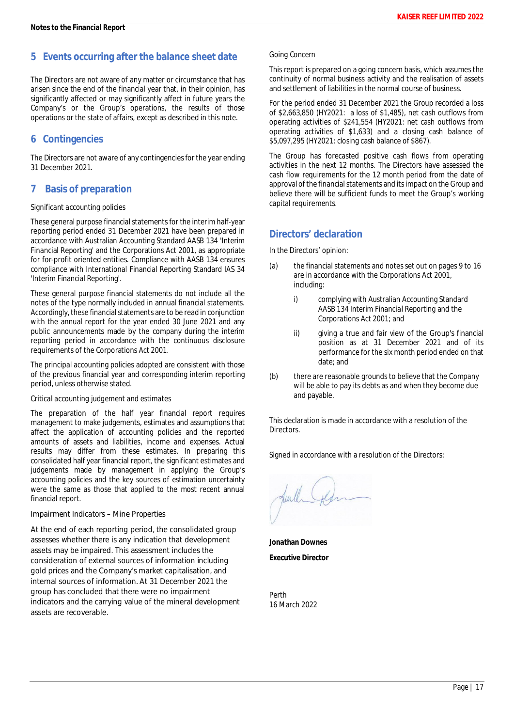# **5 Events occurring after the balance sheet date**

The Directors are not aware of any matter or circumstance that has arisen since the end of the financial year that, in their opinion, has significantly affected or may significantly affect in future years the Company's or the Group's operations, the results of those operations or the state of affairs, except as described in this note.

# **6 Contingencies**

The Directors are not aware of any contingencies for the year ending 31 December 2021.

# **7 Basis of preparation**

# *Significant accounting policies*

These general purpose financial statements for the interim half-year reporting period ended 31 December 2021 have been prepared in accordance with Australian Accounting Standard AASB 134 'Interim Financial Reporting' and the Corporations Act 2001, as appropriate for for-profit oriented entities. Compliance with AASB 134 ensures compliance with International Financial Reporting Standard IAS 34 'Interim Financial Reporting'.

These general purpose financial statements do not include all the notes of the type normally included in annual financial statements. Accordingly, these financial statements are to be read in conjunction with the annual report for the year ended 30 June 2021 and any public announcements made by the company during the interim reporting period in accordance with the continuous disclosure requirements of the Corporations Act 2001.

The principal accounting policies adopted are consistent with those of the previous financial year and corresponding interim reporting period, unless otherwise stated.

# *Critical accounting judgement and estimates*

The preparation of the half year financial report requires management to make judgements, estimates and assumptions that affect the application of accounting policies and the reported amounts of assets and liabilities, income and expenses. Actual results may differ from these estimates. In preparing this consolidated half year financial report, the significant estimates and judgements made by management in applying the Group's accounting policies and the key sources of estimation uncertainty were the same as those that applied to the most recent annual financial report.

*Impairment Indicators – Mine Properties*

At the end of each reporting period, the consolidated group assesses whether there is any indication that development assets may be impaired. This assessment includes the consideration of external sources of information including gold prices and the Company's market capitalisation, and internal sources of information. At 31 December 2021 the group has concluded that there were no impairment indicators and the carrying value of the mineral development assets are recoverable.

### *Going Concern*

This report is prepared on a going concern basis, which assumes the continuity of normal business activity and the realisation of assets and settlement of liabilities in the normal course of business.

For the period ended 31 December 2021 the Group recorded a loss of \$2,663,850 (HY2021: a loss of \$1,485), net cash outflows from operating activities of \$241,554 (HY2021: net cash outflows from operating activities of \$1,633) and a closing cash balance of \$5,097,295 (HY2021: closing cash balance of \$867).

The Group has forecasted positive cash flows from operating activities in the next 12 months. The Directors have assessed the cash flow requirements for the 12 month period from the date of approval of the financial statements and its impact on the Group and believe there will be sufficient funds to meet the Group's working capital requirements.

# **Directors' declaration**

In the Directors' opinion:

- (a) the financial statements and notes set out on pages 9 to 16 are in accordance with the *Corporations Act 2001,* including:
	- i) complying with Australian Accounting Standard AASB 134 *Interim Financial Reporting* and the *Corporations Act 2001*; and
	- ii) giving a true and fair view of the Group's financial position as at 31 December 2021 and of its performance for the six month period ended on that date; and
- (b) there are reasonable grounds to believe that the Company will be able to pay its debts as and when they become due and payable.

This declaration is made in accordance with a resolution of the Directors.

Signed in accordance with a resolution of the Directors:

**Jonathan Downes Executive Director**

Perth 16 March 2022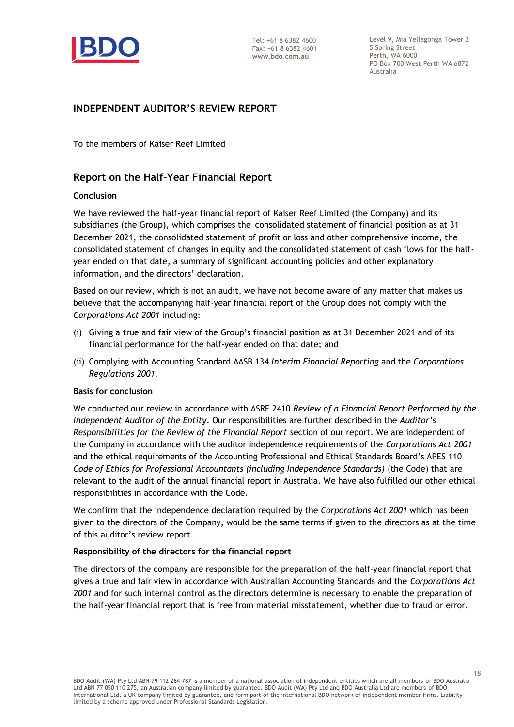

Level 9, Mia Yellagonga Tower 2 5 Spring Street Perth, WA 6000 PO Box 700 West Perth WA 6872 Australia

# **INDEPENDENT AUDITOR'S REVIEW REPORT**

To the members of Kaiser Reef Limited

# **Report on the Half-Year Financial Report**

# **Conclusion**

We have reviewed the half-year financial report of Kaiser Reef Limited (the Company) and its subsidiaries (the Group), which comprises the consolidated statement of financial position as at 31 December 2021, the consolidated statement of profit or loss and other comprehensive income, the consolidated statement of changes in equity and the consolidated statement of cash flows for the halfyear ended on that date, a summary of significant accounting policies and other explanatory information, and the directors' declaration.

Based on our review, which is not an audit, we have not become aware of any matter that makes us believe that the accompanying half-year financial report of the Group does not comply with the *Corporations Act 2001* including:

- (i) Giving a true and fair view of the Group's financial position as at 31 December 2021 and of its financial performance for the half-year ended on that date; and
- (ii) Complying with Accounting Standard AASB 134 *Interim Financial Reporting* and the *Corporations Regulations 2001.*

# **Basis for conclusion**

We conducted our review in accordance with ASRE 2410 *Review of a Financial Report Performed by the Independent Auditor of the Entity*. Our responsibilities are further described in the *Auditor's Responsibilities for the Review of the Financial Report* section of our report. We are independent of the Company in accordance with the auditor independence requirements of the *Corporations Act 2001* and the ethical requirements of the Accounting Professional and Ethical Standards Board's APES 110 *Code of Ethics for Professional Accountants (including Independence Standards)* (the Code) that are relevant to the audit of the annual financial report in Australia. We have also fulfilled our other ethical responsibilities in accordance with the Code.

We confirm that the independence declaration required by the *Corporations Act 2001* which has been given to the directors of the Company, would be the same terms if given to the directors as at the time of this auditor's review report.

# **Responsibility of the directors for the financial report**

The directors of the company are responsible for the preparation of the half-year financial report that gives a true and fair view in accordance with Australian Accounting Standards and the *Corporations Act 2001* and for such internal control as the directors determine is necessary to enable the preparation of the half-year financial report that is free from material misstatement, whether due to fraud or error.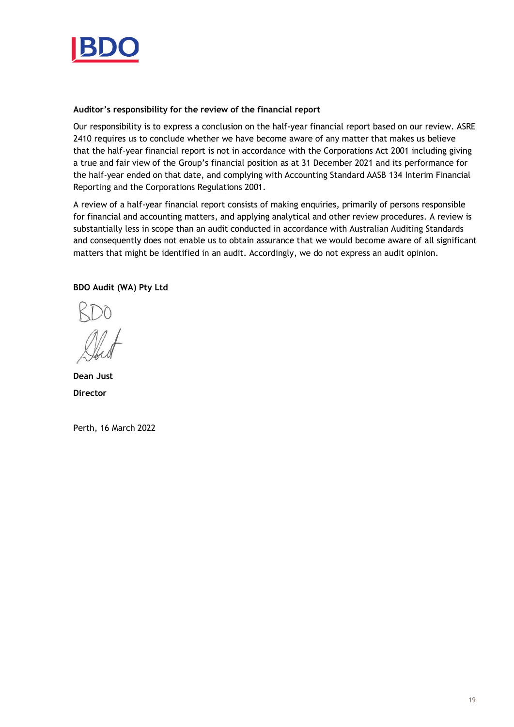

# **Auditor's responsibility for the review of the financial report**

Our responsibility is to express a conclusion on the half-year financial report based on our review. ASRE 2410 requires us to conclude whether we have become aware of any matter that makes us believe that the half-year financial report is not in accordance with the Corporations Act 2001 including giving a true and fair view of the Group's financial position as at 31 December 2021 and its performance for the half-year ended on that date, and complying with Accounting Standard AASB 134 Interim Financial Reporting and the Corporations Regulations 2001.

A review of a half-year financial report consists of making enquiries, primarily of persons responsible for financial and accounting matters, and applying analytical and other review procedures. A review is substantially less in scope than an audit conducted in accordance with Australian Auditing Standards and consequently does not enable us to obtain assurance that we would become aware of all significant matters that might be identified in an audit. Accordingly, we do not express an audit opinion.

# **BDO Audit (WA) Pty Ltd**

**Dean Just Director**

Perth, 16 March 2022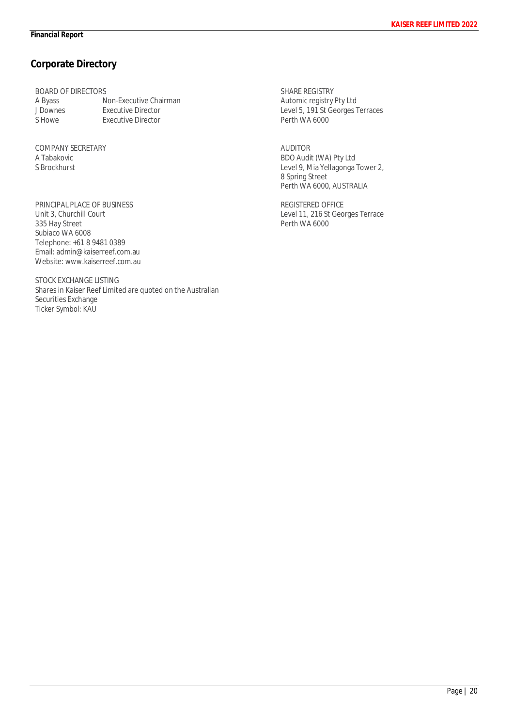# **Corporate Directory**

BOARD OF DIRECTORS<br>A Byass N A Byass **Non-Executive Chairman**<br>
J Downes Executive Director J Downes Executive Director<br>S Howe Fxecutive Director **Executive Director** 

COMPANY SECRETARY A Tabakovic S Brockhurst

PRINCIPAL PLACE OF BUSINESS Unit 3, Churchill Court 335 Hay Street Subiaco WA 6008 Telephone: +61 8 9481 0389 Email: admin@kaiserreef.com.au Website: www.kaiserreef.com.au

STOCK EXCHANGE LISTING Shares in Kaiser Reef Limited are quoted on the Australian Securities Exchange Ticker Symbol: KAU

SHARE REGISTRY Automic registry Pty Ltd Level 5, 191 St Georges Terraces Perth WA 6000

AUDITOR BDO Audit (WA) Pty Ltd Level 9, Mia Yellagonga Tower 2, 8 Spring Street Perth WA 6000, AUSTRALIA

REGISTERED OFFICE Level 11, 216 St Georges Terrace Perth WA 6000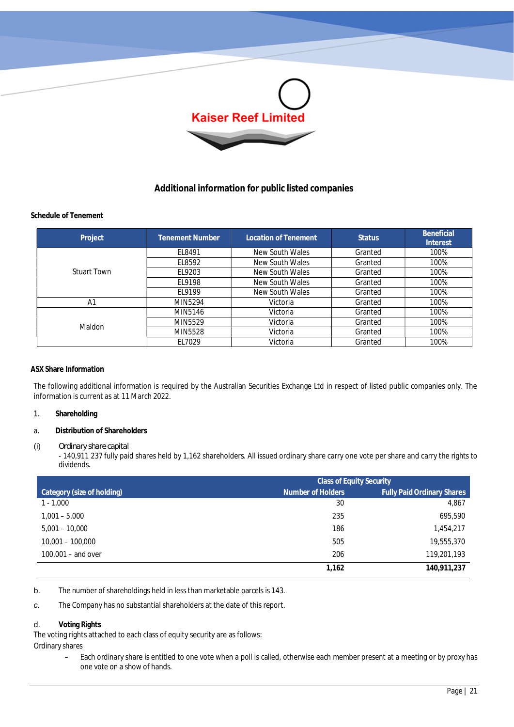

# **Additional information for public listed companies**

# **Schedule of Tenement**

| Project            | <b>Tenement Number</b> | Location of Tenement | <b>Status</b> | Beneficial<br><b>Interest</b> |
|--------------------|------------------------|----------------------|---------------|-------------------------------|
| <b>Stuart Town</b> | EL8491                 | New South Wales      | Granted       | 100%                          |
|                    | EL8592                 | New South Wales      | Granted       | 100%                          |
|                    | EL9203                 | New South Wales      | Granted       | 100%                          |
|                    | EL9198                 | New South Wales      | Granted       | 100%                          |
|                    | FI 9199                | New South Wales      | Granted       | 100%                          |
| A1                 | MIN5294                | Victoria             | Granted       | 100%                          |
| Maldon             | MIN5146                | Victoria             | Granted       | 100%                          |
|                    | MIN5529                | Victoria             | Granted       | 100%                          |
|                    | MIN5528                | Victoria             | Granted       | 100%                          |
|                    | EL7029                 | Victoria             | Granted       | 100%                          |

# **ASX Share Information**

The following additional information is required by the Australian Securities Exchange Ltd in respect of listed public companies only. The information is current as at 11 March 2022.

- 1. **Shareholding**
- a. **Distribution of Shareholders**

# (i) *Ordinary share capital*

- 140,911 237 fully paid shares held by 1,162 shareholders. All issued ordinary share carry one vote per share and carry the rights to dividends.

|                            | <b>Class of Equity Security</b> |                                   |  |
|----------------------------|---------------------------------|-----------------------------------|--|
| Category (size of holding) | Number of Holders               | <b>Fully Paid Ordinary Shares</b> |  |
| $1 - 1,000$                | 30                              | 4,867                             |  |
| $1,001 - 5,000$            | 235                             | 695,590                           |  |
| $5,001 - 10,000$           | 186                             | 1,454,217                         |  |
| $10,001 - 100,000$         | 505                             | 19,555,370                        |  |
| $100.001 -$ and over       | 206                             | 119,201,193                       |  |
|                            | 1,162                           | 140,911,237                       |  |

b. The number of shareholdings held in less than marketable parcels is 143.

*c.* The Company has no substantial shareholders at the date of this report.

# d. **Voting Rights**

The voting rights attached to each class of equity security are as follows:

Ordinary shares

– Each ordinary share is entitled to one vote when a poll is called, otherwise each member present at a meeting or by proxy has one vote on a show of hands.